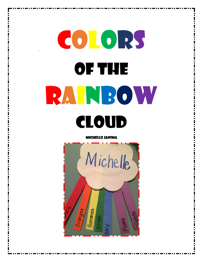# Colors of the Rainbow Cloud

Michelle Jansma

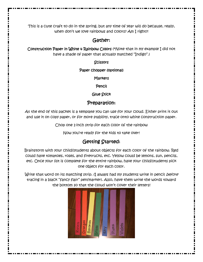This is a cute craft to do in the spring, but any time of year will do because, really, when don't we love rainbows and colors? Am I right?!

# Gather:

Construction Paper in White & Rainbow Colors (\*Note that in my example I did not have a shade of paper that actually matched "Indigo".)

### **Scissors**

### Paper chopper (optional)

**Markers** 

Pencil

Glue Stick

## Preparation:

At the end of this packet is a template you can use for your cloud. Either print it out and use it on copy paper, or for more stability, trace onto white construction paper.

Chop one 1-inch strip for each color of the rainbow

Now you're ready for the kids to take over!

# Getting Started:

Brainstorm with your child/students about objects for each color of the rainbow. Red could have tomatoes, roses, and firetrucks, etc. Yellow could be lemons, sun, pencils, etc. Once your list is complete for the entire rainbow, have your child/students pick one object for each color.

Write that word on its matching strip. (I always had my students write in pencil *before* tracing in a black "fancy flair" pen/marker). Also, have them write the words toward the bottom so that the cloud won't cover their letters!

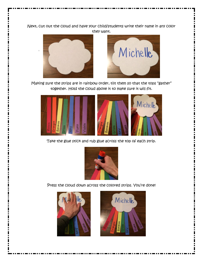Next, cut out the cloud and have your child/students write their name in any color they want.





Making sure the strips are in rainbow order, tilt them so that the tops "gather" together. Hold the cloud above it to make sure it will fit.



Take the glue stick and rub glue across the top of each strip.



Press the cloud down across the colored strips. You're done!